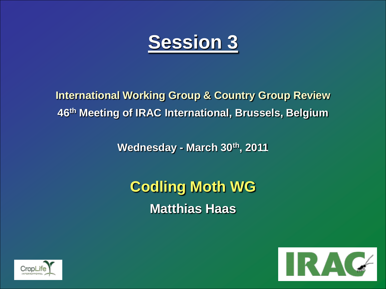

**International Working Group & Country Group Review 46th Meeting of IRAC International, Brussels, Belgium**

**Wednesday - March 30th, 2011**

**Codling Moth WG Matthias Haas**



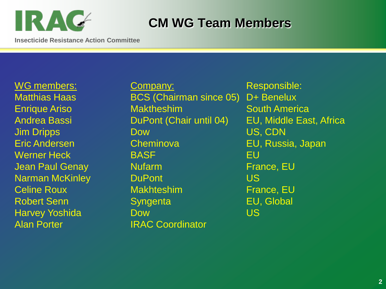

# **CM WG Team Members**

**Insecticide Resistance Action Committee**

Alan Porter **IRAC Coordinator** 

WG members: Company: Responsible: Matthias Haas **BCS (Chairman since 05)** D+ Benelux **Enrique Ariso Maktheshim South America** Jim Dripps Dow US, CDN Eric Andersen Cheminova EU, Russia, Japan Werner Heck BASF BASE BASE BU **Jean Paul Genay Mufarm France, EU** Narman McKinley **DuPont DuPont US** Celine Roux Makhteshim France, EU Robert Senn Syngenta EU, Global Harvey Yoshida **Dow** Dow US

Andrea Bassi DuPont (Chair until 04) EU, Middle East, Africa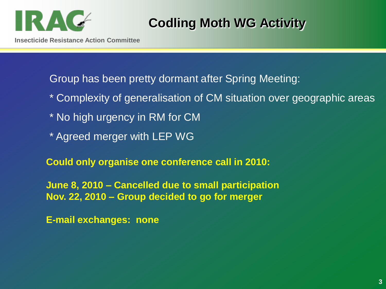

# **Codling Moth WG Activity**

Group has been pretty dormant after Spring Meeting:

- \* Complexity of generalisation of CM situation over geographic areas
- \* No high urgency in RM for CM
- \* Agreed merger with LEP WG

**Could only organise one conference call in 2010:**

**June 8, 2010 – Cancelled due to small participation Nov. 22, 2010 – Group decided to go for merger**

**E-mail exchanges: none**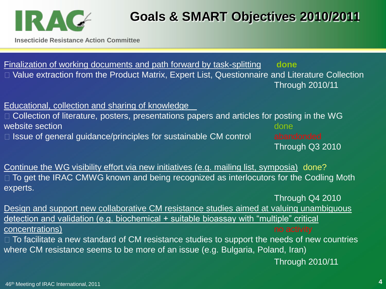

# **Goals & SMART Objectives 2010/2011**

**Insecticide Resistance Action Committee**

Finalization of working documents and path forward by task-splitting **done** Value extraction from the Product Matrix, Expert List, Questionnaire and Literature Collection Through 2010/11

## Educational, collection and sharing of knowledge

 $\Box$  Collection of literature, posters, presentations papers and articles for posting in the WG website section and the control of the control of the control of the control of the control of the control of the control of the control of the control of the control of the control of the control of the control of the con □ Issue of general guidance/principles for sustainable CM control abandonded

Through Q3 2010

Continue the WG visibility effort via new initiatives (e.g. mailing list, symposia) done?  $\Box$  To get the IRAC CMWG known and being recognized as interlocutors for the Codling Moth experts.

Through Q4 2010 Design and support new collaborative CM resistance studies aimed at valuing unambiguous detection and validation (e.g. biochemical + suitable bioassay with "multiple" critical concentrations) and the concentrations of the concentrations of the concentrations of the concentrations of the concentrations of the concentrations of the concentrations of the concentrations of the concentrations of the

 $\Box$  To facilitate a new standard of CM resistance studies to support the needs of new countries where CM resistance seems to be more of an issue (e.g. Bulgaria, Poland, Iran)

Through 2010/11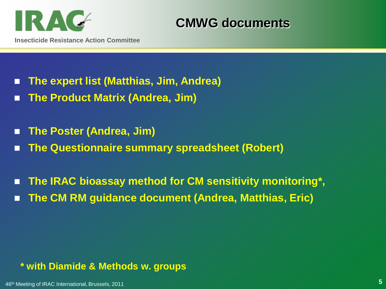

**CMWG documents**

- **The expert list (Matthias, Jim, Andrea)**
- **The Product Matrix (Andrea, Jim)**
- **The Poster (Andrea, Jim)**
- **The Questionnaire summary spreadsheet (Robert)**
- The IRAC bioassay method for CM sensitivity monitoring<sup>\*</sup>, ■ The CM RM guidance document (Andrea, Matthias, Eric)

## **\* with Diamide & Methods w. groups**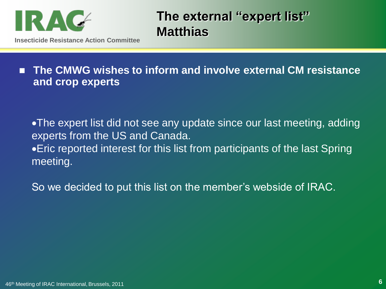

**The external "expert list" Matthias**

■ The CMWG wishes to inform and involve external CM resistance **and crop experts**

The expert list did not see any update since our last meeting, adding experts from the US and Canada. Eric reported interest for this list from participants of the last Spring meeting.

So we decided to put this list on the member's webside of IRAC.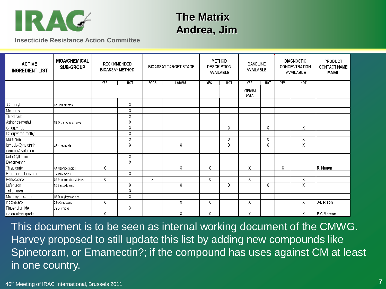

# **The Matrix Andrea, Jim**

**Insecticide Resistance Action Committee**

| <b>ACTIVE</b><br><b>INGREDIENT LIST</b> | <b>MOA/CHEMICAL</b><br><b>SUB-GROUP</b> | <b>BIOASSAY METHOD</b> | RECOMMENDED             |      | <b>BIOASSAY TARGET STAGE</b> | <b>METHOD</b><br><b>DESCRIPTION</b> | <b>AVAILABLE</b> | <b>BASELINE</b><br>AVAILABLE |                         |            | <b>DIAGNOSTIC</b><br>CONCENTRATION<br>AVAILABLE | PRODUCT<br><b>CONTACT NAME</b><br>E-MAIL |
|-----------------------------------------|-----------------------------------------|------------------------|-------------------------|------|------------------------------|-------------------------------------|------------------|------------------------------|-------------------------|------------|-------------------------------------------------|------------------------------------------|
|                                         |                                         | <b>YES</b>             | <b>NOT</b>              | EGGS | LARVAE                       | <b>YES</b>                          | <b>NOT</b>       | <b>YES</b>                   | <b>NOT</b>              | <b>YES</b> | <b>NOT</b>                                      |                                          |
|                                         |                                         |                        |                         |      |                              |                                     |                  | <b>INTERNAL</b><br>DATA      |                         |            |                                                 |                                          |
| Carbaryl                                | 1A Carbamates                           |                        | χ                       |      |                              |                                     |                  |                              |                         |            |                                                 |                                          |
| Methomyl                                |                                         |                        | Χ                       |      |                              |                                     |                  |                              |                         |            |                                                 |                                          |
| Thiodicarb                              |                                         |                        | $\overline{\mathsf{x}}$ |      |                              |                                     |                  |                              |                         |            |                                                 |                                          |
| Azinphos-methyl                         | 1B Organophosphates                     |                        | Χ                       |      |                              |                                     |                  |                              |                         |            |                                                 |                                          |
| Chlorpyrifos                            |                                         |                        | χ                       |      |                              |                                     | χ                |                              | χ                       |            | χ                                               |                                          |
| Chlorpyrifos-methyl                     |                                         |                        | $\overline{\mathsf{x}}$ |      |                              |                                     |                  |                              |                         |            |                                                 |                                          |
| Malathion                               |                                         |                        | $\overline{\mathsf{x}}$ |      |                              |                                     | X                |                              | $\overline{\mathsf{x}}$ |            | χ                                               |                                          |
| lambda-Cyhalothrin                      | 3A Pyrethroids                          |                        | Χ                       |      | χ                            |                                     | χ                |                              | χ                       |            | χ                                               |                                          |
| gamma-Cyalothrin                        |                                         |                        |                         |      |                              |                                     |                  |                              |                         |            |                                                 |                                          |
| beta-Cyfluthrin                         |                                         |                        | $\overline{\mathsf{x}}$ |      |                              |                                     |                  |                              |                         |            |                                                 |                                          |
| Deltamethrin                            |                                         |                        | Χ                       |      |                              |                                     |                  |                              |                         |            |                                                 |                                          |
| Thiacloprid                             | 4A Neonicotinoids                       | χ                      |                         |      | $\overline{X}$               | Χ                                   |                  | χ                            |                         | χ          |                                                 | R. Nauen                                 |
| Emamectin benzoate                      | 6 Avermectins                           |                        | Χ                       |      |                              |                                     |                  |                              |                         |            |                                                 |                                          |
| Fenoxycarb                              | 7B Phenoxy-phenylethers                 | Χ                      |                         | χ    |                              | X                                   |                  | χ                            |                         |            | X                                               |                                          |
| Lufenuron                               | 15 Benzoylureas                         |                        | $\overline{\mathsf{X}}$ |      | χ                            |                                     | χ                |                              | $\overline{\mathsf{X}}$ |            | Χ                                               |                                          |
| Triflumuron                             |                                         |                        | χ                       |      |                              |                                     |                  |                              |                         |            |                                                 |                                          |
| Methoxyfenozide                         | 18 Diacylhydrazines                     |                        | Χ                       |      |                              |                                     |                  |                              |                         |            |                                                 |                                          |
| Indoxacarb                              | 22A Oxadiazine                          | Χ                      |                         |      | χ                            | X                                   |                  | χ                            |                         |            | χ                                               | J L Rison                                |
| Flubendiamide                           | 28 Diamides                             |                        | χ                       |      |                              |                                     |                  |                              |                         |            |                                                 |                                          |
| Chlorantraniliprole                     |                                         | χ                      |                         |      | χ                            | X                                   |                  | χ                            |                         |            | χ                                               | P C Marcon                               |

This document is to be seen as internal working document of the CMWG. Harvey proposed to still update this list by adding new compounds like Spinetoram, or Emamectin?; if the compound has uses against CM at least in one country.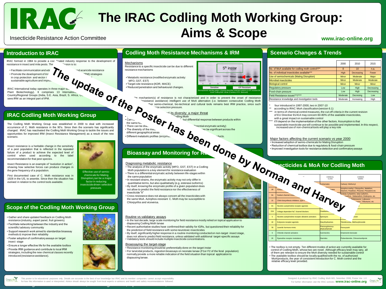# **The IRAC Codling Moth Working Group:** Aims & Scope **WWW.irac-online.org**

5<sup>th</sup> instar

Sensitive<br>Electrophoretic banding pattern showing diversified esterase isoforms in OP resistant 5th<br>Electrophoretic instar Codling Moth larvae (Courtesy of Dr. Manicardi)

**Insecticide Resistance Action Committee**

### . **Introduction to IRAC**

IRAC formed in 1984 to provide a coor "nated industry response to the development of resistance in insect and mite pests. The **Internal Mission** is to:



IRAC International today operates in three major sectors  $\blacksquare$ Plant Biotechnology). It comprises 13 International Country/Regional Groups (India, S.E. Asia, Brazil, S. Africa, UC, sees IRM as an integral part of IPM.

### **IRAC Codling Moth Working Group**

The Codling Moth Working Group was established in 2000 to deal with increased occurrence of C. Moth resistance in the 90's. Since then the scenario has significantly changed. IRAC has reactivated the Codling Moth Working Group to tackle the issues and opportunities for improved IRM (Insect Resistance Management) as a result of the new scenario.

Insect resistance is a heritable change in the sensitivity of a pest population that is reflected in the repeated failure of a product to achieve the expected level of control when used according to the label recommendation for that pest species.

Insect Resistance is an example of "evolution in action", showing how selective forces can produce changes in the gene frequency of a population.

First documented case of C. Moth resistance was in 1928 in the US, to arsenite. Since then the situation has evolved in relation to the control tools available.

• Gather and share updated feedback on Codling Moth resistance (industry, expert panel, fruit growers) • Facilitate networking between the industry and the

• Support research work aimed to standardize bioassay

• Ensure a longer effective life for the available toolbox • Provide IRM guidance and contribute to local IRM strategies, including the new chemical classes recently

scientific/ advisory community

insect stage

methods & improve their reliability • Foster adoption of confirmatory assays on target

introduced (resistance avoidance).



Effective use of semio-chemicals for Mating Disruption can be a major factor in reducing insecticide driven selection pressure.

### . **Codling Moth Resistance Mechanisms & IRM**

Mechanisms Resistance to a specific insecticide can be due to different resistance mechanisms

Metabolic resistance (modified enzymatic activity: MFO, GST, EST) Target-site resistance (KDR, MACE) Reduced penetration and behavioural changes.

Amechanism(s) of resistance is not characterized and in order to prevent the onset of resistance  $\cdot$  resistance avoidance) intelligent use of MoA alternation (i.e. between consecutive Codling Moth  $\cdot$  ther semio-chemical

Can L.<br>
The same M...<br>
There can be diversity of the me<sub>ture</sub><br>
Differential engraphical response between products within<br>
different geographical areas<br>
The diversity of the me<sub>ture</sub><br>
Different metabolic profiles (enzyme

### **Bioassay and Monitoring for Resident**

- Diagnoosing metaboloic resistance<br>
v-The analysis of the enzymatic activity (MFO, GST, EST) in a Codling<br>
Moth population is a key element for resistance evaluation<br>
Moth population is a key element for resistance evaluati
- 
- 
- By itself, knowing the enzymatic profile of a given population does not allow to predict the field resistance nor the effectiveness of insecticide "X"

• Cross-resistance does not always concern all the insecticides with the same MoA. Azinphos-resistant C. Moth may be susceptible to Chlorpyrifos and viceversa.

### Routine vs validatory assays

- In the last decade, large scale monitoring for field resistance mostly relied on topical application to diapausing Codling Moth larvae
- Recent authoritative studies have confirmed their validity for IGRs, but questioned their reliability for the prediction of field resistance with some neurotoxic insecticides
- By itself, significantly higher response in a routine monitoring conducted on non-target insect stage,
- does not allow to predict field resistance, unless validated with additional target-specific assays • Validatory tests should include multiple insecticide concentrations.
- Bioassaying the target-stage
- Resistance monitoring should be preferentially done on the target instar
- For larvicidal products, ingestion bioassays on neonate larvae (F1or F2 of the feral population)
- normally provide a more reliable indication of the field situation than topical application to diapausing larvae.

### . **Scenario Changes & Trends**

|                                                   | 2000            | 2010         | 2015         |
|---------------------------------------------------|-----------------|--------------|--------------|
| No. of MoA available for codling moth control*/** | 8               | 10           | n.a.         |
| No. of individual insecticides available***       | High            | Decreasing   | Fewer        |
| Use of semiochemicals (Mating Disruption)         | Minor           | Moderate     | Major        |
| <b>Microbial insecticides</b>                     | Minor           | Moderate     | Moderate     |
| <b>Biological control</b>                         | Minor           | <b>Minor</b> | Minor        |
| Regulatory pressure                               | 1 <sub>ow</sub> | High         | Decreasing   |
| Food-chain pressure                               | Low             | High         | Decreasing   |
| Field Resistance issues***/****                   | Moderate        | Decresing    | $1$ $\alpha$ |
| Resistance knowledge and investigation tools      | Moderate        | Increasing   | High         |

four introduced in 1997-2000, two in 2007-10

according to IRAC MoA classification (version 6.1)

- in terms of chemical control measures, the cut-off criteria in the current revision of EU Directive 91/414 may concern 60-80% of the available insecticides, with a great impact on sustainable control
- it'll depend on the implementation of the other factors. Assumption is that sustainable insecticide use will continue to be possible and implemented. In this respect, increased use of non-chemical tools will play a key role
- Major factors affecting the current scenario vs year 2000
- Increased adoption of semio-chemicals for Mating Disruption
- Reduction of chemical toolbox due to regulatory & food-chain pressure
- Improved investigation tools for resistance detection and confirmatory assays

### **Insecticides & MoA for Codling Moth**

|                 | Inan and Harvey                                        |                                   | COMMON<br><b>NAMES</b>                                                                    |
|-----------------|--------------------------------------------------------|-----------------------------------|-------------------------------------------------------------------------------------------|
|                 |                                                        |                                   | Carbaryl, Methomyl                                                                        |
|                 |                                                        |                                   | Azinphos-methyl, Chlorpyrifos, Malathion,<br>Diazinon, Parathion, Phosmet, Phosalone etc. |
|                 |                                                        |                                   | lambda-Cyhalothrin, beta-Cyfluthrin,<br>: methrin. Deltamethrin. Etofenprox. etc.         |
|                 |                                                        |                                   | Slufenoxuron, Lufenuron.<br>"zuron, Triflumuron, etc.                                     |
|                 |                                                        |                                   |                                                                                           |
| 22A             | Voltage dependant Na <sup>+</sup> channel blockers     | Oxadiazin-                        |                                                                                           |
| 5               | Nicotinic acetylcholine receptor allosteric activators | Spinosyns                         | oram                                                                                      |
| 18              | Ecdysone receptor agonists                             | <b>Diacylhydrazines</b>           | Tebufenozide, Methoxyfenozide                                                             |
| 7R              | Juvenile hormone mimic                                 | Phenoxyphenoxy-<br>ethylcarbamate | Fenoxycarb                                                                                |
| $6\overline{6}$ | Chloride channel activators                            | Avermectins                       | Emamectin-henzoate                                                                        |
| 28              | Rvanodine receptor modulators                          | <b>Diamides</b>                   | Flubendiamide, Chlorantraniliprole                                                        |
|                 |                                                        |                                   |                                                                                           |

• The toolbox is not empty. Ten different modes of action are currently available for control of Codling Moth, whose two are novel. Although efficacy level may vary, all of them are relevant to ensure the MoA diversity needed for sustainable control The available toolbox should be locally qualified with the no. of authorized MoA/products, the year of consistent introduction for C. Moth control and the relative efficacy level provided.





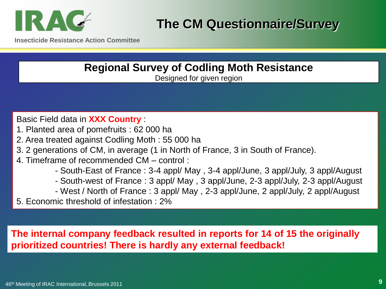

**Insecticide Resistance Action Committee**

## **Regional Survey of Codling Moth Resistance** Designed for given region

Basic Field data in **XXX Country** :

- 1. Planted area of pomefruits : 62 000 ha
- 2. Area treated against Codling Moth : 55 000 ha
- 3. 2 generations of CM, in average (1 in North of France, 3 in South of France).
- 4. Timeframe of recommended CM control :
	- South-East of France : 3-4 appl/ May , 3-4 appl/June, 3 appl/July, 3 appl/August
	- South-west of France : 3 appl/ May , 3 appl/June, 2-3 appl/July, 2-3 appl/August
	- West / North of France : 3 appl/ May , 2-3 appl/June, 2 appl/July, 2 appl/August
- 5. Economic threshold of infestation : 2%

## **The internal company feedback resulted in reports for 14 of 15 the originally prioritized countries! There is hardly any external feedback!**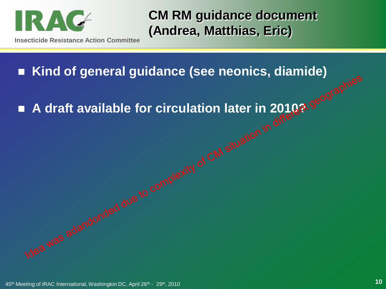

**CM RM guidance document (Andrea, Matthias, Eric)**

**Kind of general guidance (see neonics, diamide)**

■ A draft available for circulation later in 2010? geographies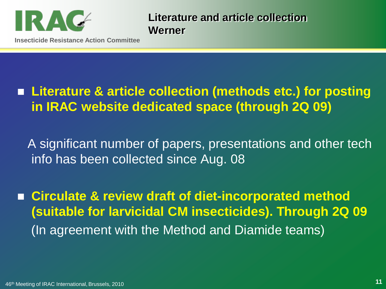

**Literature and article collection Werner**

**Insecticide Resistance Action Committee**

# **Literature & article collection (methods etc.) for posting in IRAC website dedicated space (through 2Q 09)**

A significant number of papers, presentations and other tech info has been collected since Aug. 08

 **Circulate & review draft of diet-incorporated method (suitable for larvicidal CM insecticides). Through 2Q 09** (In agreement with the Method and Diamide teams)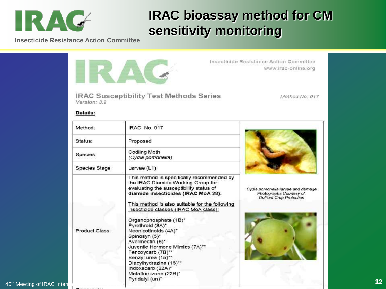

# **IRAC bioassay method for CM sensitivity monitoring**

**Insecticide Resistance Action Committee**

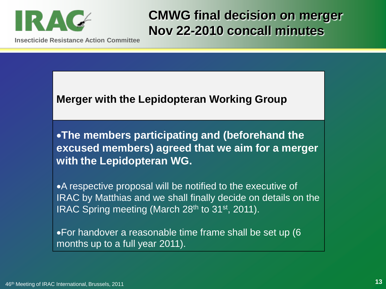

**CMWG final decision on merger Nov 22-2010 concall minutes**

**Insecticide Resistance Action Committee**

## **Merger with the Lepidopteran Working Group**

**The members participating and (beforehand the excused members) agreed that we aim for a merger with the Lepidopteran WG.**

A respective proposal will be notified to the executive of IRAC by Matthias and we shall finally decide on details on the IRAC Spring meeting (March 28<sup>th</sup> to 31<sup>st</sup>, 2011).

For handover a reasonable time frame shall be set up (6 months up to a full year 2011).